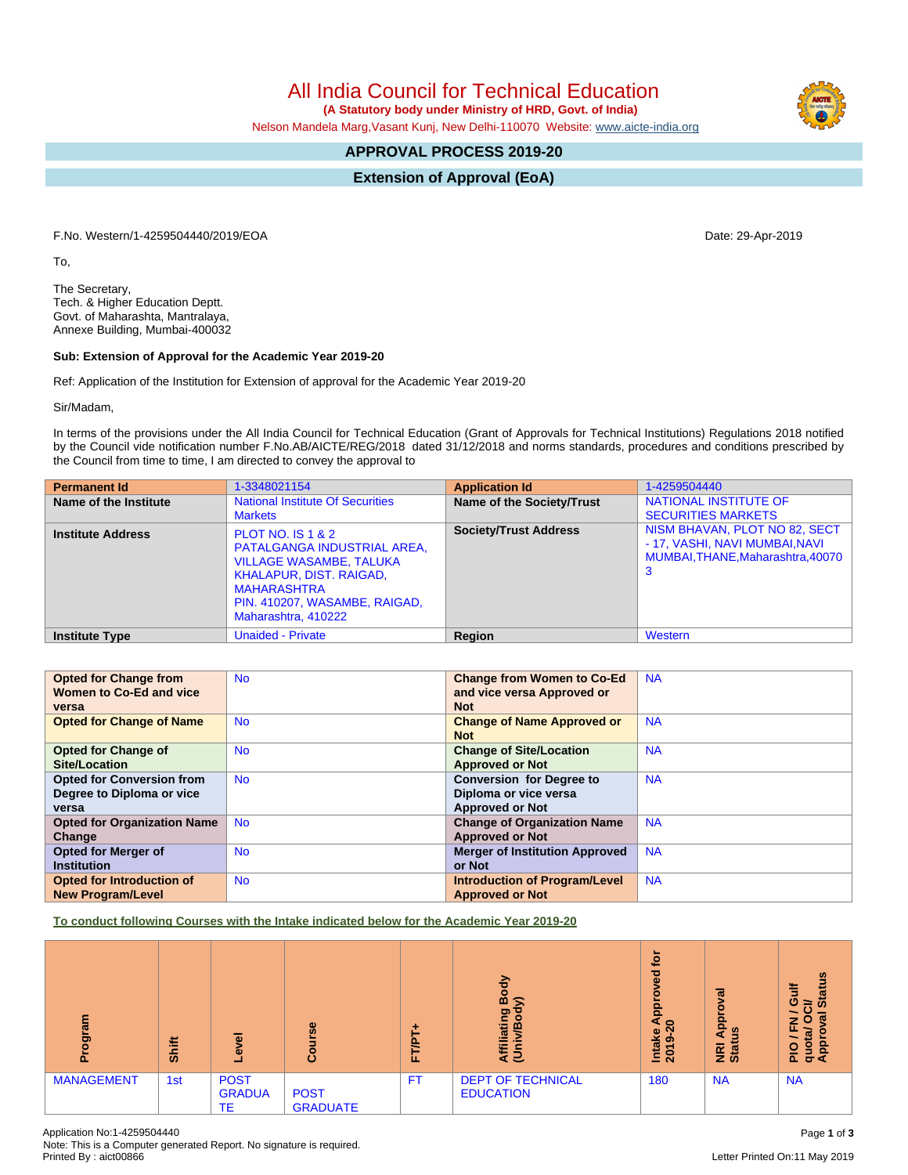All India Council for Technical Education

 **(A Statutory body under Ministry of HRD, Govt. of India)**

Nelson Mandela Marg,Vasant Kunj, New Delhi-110070 Website: [www.aicte-india.org](http://www.aicte-india.org)

## **APPROVAL PROCESS 2019-20**

**Extension of Approval (EoA)**

F.No. Western/1-4259504440/2019/EOA Date: 29-Apr-2019

To,

The Secretary, Tech. & Higher Education Deptt. Govt. of Maharashta, Mantralaya, Annexe Building, Mumbai-400032

## **Sub: Extension of Approval for the Academic Year 2019-20**

Ref: Application of the Institution for Extension of approval for the Academic Year 2019-20

Sir/Madam,

In terms of the provisions under the All India Council for Technical Education (Grant of Approvals for Technical Institutions) Regulations 2018 notified by the Council vide notification number F.No.AB/AICTE/REG/2018 dated 31/12/2018 and norms standards, procedures and conditions prescribed by the Council from time to time, I am directed to convey the approval to

| <b>Permanent Id</b>      | 1-3348021154                                                                                                                                                                                                  | <b>Application Id</b>        | 1-4259504440                                                                                              |
|--------------------------|---------------------------------------------------------------------------------------------------------------------------------------------------------------------------------------------------------------|------------------------------|-----------------------------------------------------------------------------------------------------------|
| Name of the Institute    | <b>National Institute Of Securities</b><br><b>Markets</b>                                                                                                                                                     | Name of the Society/Trust    | NATIONAL INSTITUTE OF<br><b>SECURITIES MARKETS</b>                                                        |
| <b>Institute Address</b> | <b>PLOT NO. IS 1 &amp; 2</b><br>PATALGANGA INDUSTRIAL AREA,<br><b>VILLAGE WASAMBE, TALUKA</b><br><b>KHALAPUR, DIST. RAIGAD,</b><br><b>MAHARASHTRA</b><br>PIN. 410207, WASAMBE, RAIGAD,<br>Maharashtra, 410222 | <b>Society/Trust Address</b> | NISM BHAVAN, PLOT NO 82, SECT<br>- 17, VASHI, NAVI MUMBAI, NAVI<br>MUMBAI, THANE, Maharashtra, 40070<br>3 |
| <b>Institute Type</b>    | <b>Unaided - Private</b>                                                                                                                                                                                      | Region                       | Western                                                                                                   |

| <b>Opted for Change from</b>       | <b>No</b> | <b>Change from Women to Co-Ed</b>     | <b>NA</b> |
|------------------------------------|-----------|---------------------------------------|-----------|
| Women to Co-Ed and vice            |           | and vice versa Approved or            |           |
| versa                              |           | <b>Not</b>                            |           |
| <b>Opted for Change of Name</b>    | <b>No</b> | <b>Change of Name Approved or</b>     | <b>NA</b> |
|                                    |           | <b>Not</b>                            |           |
| <b>Opted for Change of</b>         | <b>No</b> | <b>Change of Site/Location</b>        | <b>NA</b> |
| <b>Site/Location</b>               |           | <b>Approved or Not</b>                |           |
| <b>Opted for Conversion from</b>   | <b>No</b> | <b>Conversion for Degree to</b>       | <b>NA</b> |
| Degree to Diploma or vice          |           | Diploma or vice versa                 |           |
| versa                              |           | <b>Approved or Not</b>                |           |
| <b>Opted for Organization Name</b> | <b>No</b> | <b>Change of Organization Name</b>    | <b>NA</b> |
| Change                             |           | <b>Approved or Not</b>                |           |
| Opted for Merger of                | <b>No</b> | <b>Merger of Institution Approved</b> | <b>NA</b> |
| <b>Institution</b>                 |           | or Not                                |           |
| Opted for Introduction of          | <b>No</b> | <b>Introduction of Program/Level</b>  | <b>NA</b> |
| <b>New Program/Level</b>           |           | <b>Approved or Not</b>                |           |

**To conduct following Courses with the Intake indicated below for the Academic Year 2019-20**

| ogram<br>ō        | <b>Shift</b> | ᠊ᢛ<br>٥<br>-                       | rse<br>Gou                     | ÷<br>-<br>Ë<br>щ | ㅎ<br>۰<br>m<br>ଛ<br>ත<br>latin<br>÷<br>₹ē    | ٠ĕ<br>ъ.<br>$\mathbf{a}$<br>٥<br>윤<br>$\circ$<br>Intake<br>စာ<br>↽<br>$\overline{8}$ | ē<br>g<br>윤<br>ഇ<br>a<br><b>Ri</b><br>Stat | <b>Status</b><br>븧<br>ပ<br>∋<br>w<br>z<br>$\bullet$<br>ட<br>ಸ<br>å<br><b>PIO</b><br>3<br>σ∢ |
|-------------------|--------------|------------------------------------|--------------------------------|------------------|----------------------------------------------|--------------------------------------------------------------------------------------|--------------------------------------------|---------------------------------------------------------------------------------------------|
| <b>MANAGEMENT</b> | 1st          | <b>POST</b><br><b>GRADUA</b><br>TE | <b>POST</b><br><b>GRADUATE</b> | FT.              | <b>DEPT OF TECHNICAL</b><br><b>EDUCATION</b> | 180                                                                                  | <b>NA</b>                                  | <b>NA</b>                                                                                   |